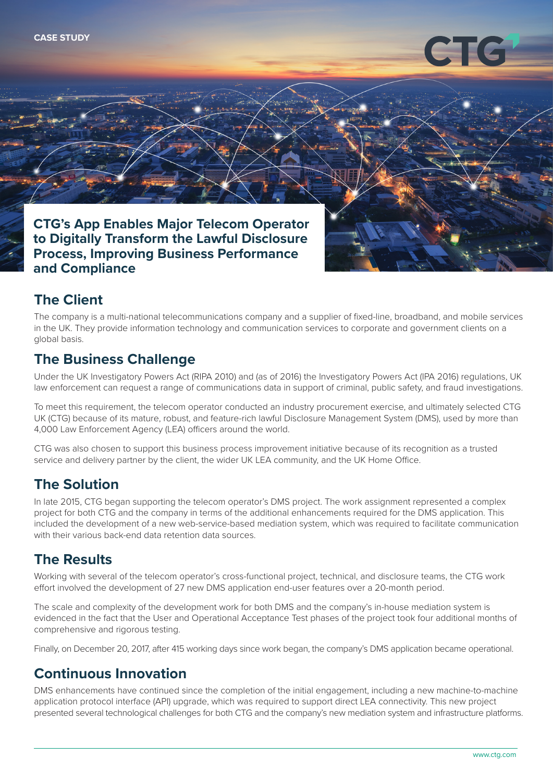

#### **CTG's App Enables Major Telecom Operator to Digitally Transform the Lawful Disclosure Process, Improving Business Performance and Compliance**

# **The Client**

The company is a multi-national telecommunications company and a supplier of fixed-line, broadband, and mobile services in the UK. They provide information technology and communication services to corporate and government clients on a global basis.

### **The Business Challenge**

Under the UK Investigatory Powers Act (RIPA 2010) and (as of 2016) the Investigatory Powers Act (IPA 2016) regulations, UK law enforcement can request a range of communications data in support of criminal, public safety, and fraud investigations.

To meet this requirement, the telecom operator conducted an industry procurement exercise, and ultimately selected CTG UK (CTG) because of its mature, robust, and feature-rich lawful Disclosure Management System (DMS), used by more than 4,000 Law Enforcement Agency (LEA) officers around the world.

CTG was also chosen to support this business process improvement initiative because of its recognition as a trusted service and delivery partner by the client, the wider UK LEA community, and the UK Home Office.

# **The Solution**

In late 2015, CTG began supporting the telecom operator's DMS project. The work assignment represented a complex project for both CTG and the company in terms of the additional enhancements required for the DMS application. This included the development of a new web-service-based mediation system, which was required to facilitate communication with their various back-end data retention data sources.

## **The Results**

Working with several of the telecom operator's cross-functional project, technical, and disclosure teams, the CTG work effort involved the development of 27 new DMS application end-user features over a 20-month period.

The scale and complexity of the development work for both DMS and the company's in-house mediation system is evidenced in the fact that the User and Operational Acceptance Test phases of the project took four additional months of comprehensive and rigorous testing.

Finally, on December 20, 2017, after 415 working days since work began, the company's DMS application became operational.

## **Continuous Innovation**

DMS enhancements have continued since the completion of the initial engagement, including a new machine-to-machine application protocol interface (API) upgrade, which was required to support direct LEA connectivity. This new project presented several technological challenges for both CTG and the company's new mediation system and infrastructure platforms.